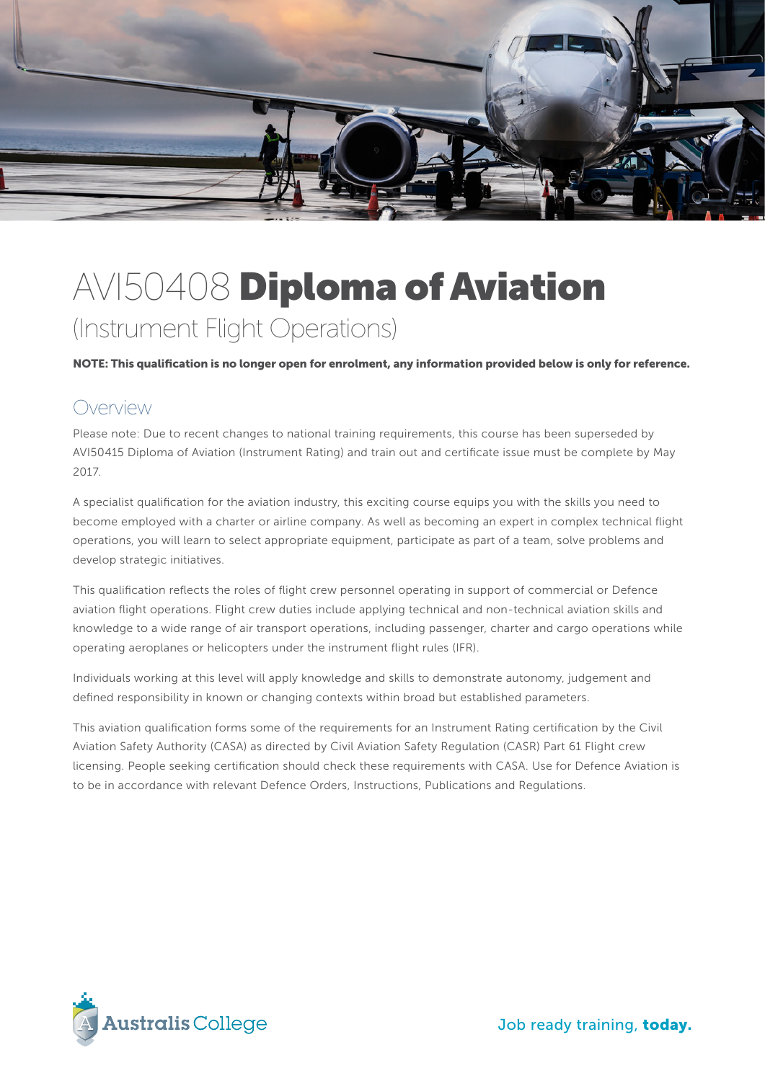

# AVI50408 Diploma of Aviation (Instrument Flight Operations)

NOTE: This qualification is no longer open for enrolment, any information provided below is only for reference.

#### **Overview**

Please note: Due to recent changes to national training requirements, this course has been superseded by AVI50415 Diploma of Aviation (Instrument Rating) and train out and certificate issue must be complete by May 2017.

A specialist qualification for the aviation industry, this exciting course equips you with the skills you need to become employed with a charter or airline company. As well as becoming an expert in complex technical flight operations, you will learn to select appropriate equipment, participate as part of a team, solve problems and develop strategic initiatives.

This qualification reflects the roles of flight crew personnel operating in support of commercial or Defence aviation flight operations. Flight crew duties include applying technical and non-technical aviation skills and knowledge to a wide range of air transport operations, including passenger, charter and cargo operations while operating aeroplanes or helicopters under the instrument flight rules (IFR).

Individuals working at this level will apply knowledge and skills to demonstrate autonomy, judgement and defined responsibility in known or changing contexts within broad but established parameters.

This aviation qualification forms some of the requirements for an Instrument Rating certification by the Civil Aviation Safety Authority (CASA) as directed by Civil Aviation Safety Regulation (CASR) Part 61 Flight crew licensing. People seeking certification should check these requirements with CASA. Use for Defence Aviation is to be in accordance with relevant Defence Orders, Instructions, Publications and Regulations.



Job ready training, today.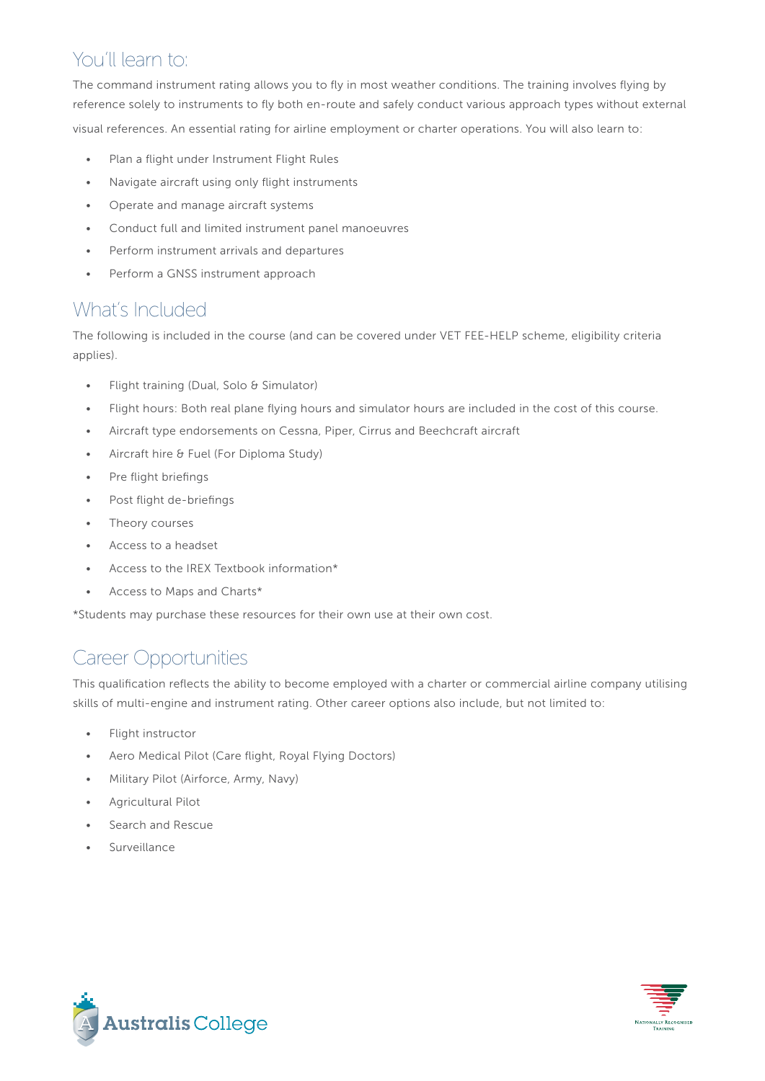# You'll learn to:

The command instrument rating allows you to fly in most weather conditions. The training involves flying by reference solely to instruments to fly both en-route and safely conduct various approach types without external visual references. An essential rating for airline employment or charter operations. You will also learn to:

- Plan a flight under Instrument Flight Rules
- Navigate aircraft using only flight instruments
- Operate and manage aircraft systems
- Conduct full and limited instrument panel manoeuvres
- Perform instrument arrivals and departures
- Perform a GNSS instrument approach

#### What's Included

The following is included in the course (and can be covered under VET FEE-HELP scheme, eligibility criteria applies).

- Flight training (Dual, Solo & Simulator)
- Flight hours: Both real plane flying hours and simulator hours are included in the cost of this course.
- Aircraft type endorsements on Cessna, Piper, Cirrus and Beechcraft aircraft
- Aircraft hire & Fuel (For Diploma Study)
- Pre flight briefings
- Post flight de-briefings
- Theory courses
- Access to a headset
- Access to the IREX Textbook information\*
- Access to Maps and Charts\*

\*Students may purchase these resources for their own use at their own cost.

# Career Opportunities

This qualification reflects the ability to become employed with a charter or commercial airline company utilising skills of multi-engine and instrument rating. Other career options also include, but not limited to:

- Flight instructor
- Aero Medical Pilot (Care flight, Royal Flying Doctors)
- Military Pilot (Airforce, Army, Navy)
- Agricultural Pilot
- Search and Rescue
- **Surveillance**



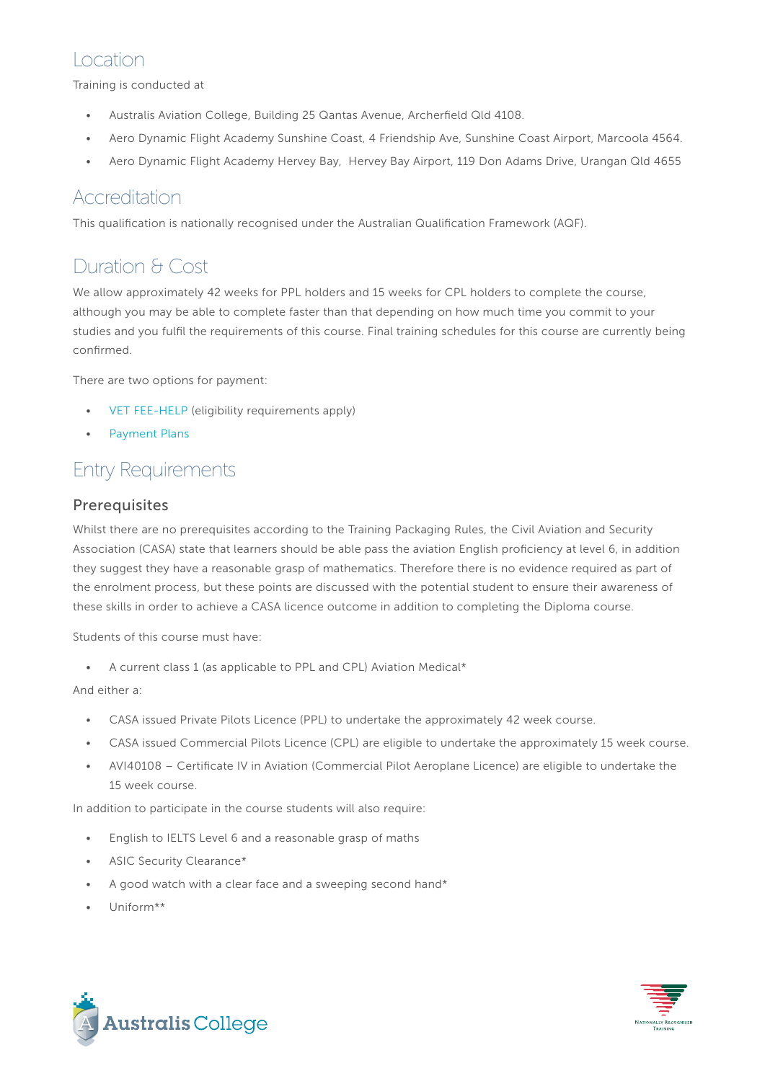## Location

Training is conducted at

- Australis Aviation College, Building 25 Qantas Avenue, Archerfield Qld 4108.
- Aero Dynamic Flight Academy Sunshine Coast, 4 Friendship Ave, Sunshine Coast Airport, Marcoola 4564.
- Aero Dynamic Flight Academy Hervey Bay, Hervey Bay Airport, 119 Don Adams Drive, Urangan Qld 4655

#### Accreditation

This qualification is nationally recognised under the Australian Qualification Framework (AQF).

# Duration & Cost

We allow approximately 42 weeks for PPL holders and 15 weeks for CPL holders to complete the course, although you may be able to complete faster than that depending on how much time you commit to your studies and you fulfil the requirements of this course. Final training schedules for this course are currently being confirmed.

There are two options for payment:

- [VET FEE-HELP](http://www.australiscollege.edu.au/vet-fee-help/) (eligibility requirements apply)
- [Payment Plans](http://www.australiscollege.edu.au/payment-plans/)

## Entry Requirements

#### Prerequisites

Whilst there are no prerequisites according to the Training Packaging Rules, the Civil Aviation and Security Association (CASA) state that learners should be able pass the aviation English proficiency at level 6, in addition they suggest they have a reasonable grasp of mathematics. Therefore there is no evidence required as part of the enrolment process, but these points are discussed with the potential student to ensure their awareness of these skills in order to achieve a CASA licence outcome in addition to completing the Diploma course.

Students of this course must have:

• A current class 1 (as applicable to PPL and CPL) Aviation Medical\*

#### And either a:

- CASA issued Private Pilots Licence (PPL) to undertake the approximately 42 week course.
- CASA issued Commercial Pilots Licence (CPL) are eligible to undertake the approximately 15 week course.
- AVI40108 Certificate IV in Aviation (Commercial Pilot Aeroplane Licence) are eligible to undertake the 15 week course.

In addition to participate in the course students will also require:

- English to IELTS Level 6 and a reasonable grasp of maths
- ASIC Security Clearance\*
- A good watch with a clear face and a sweeping second hand\*
- Uniform\*\*



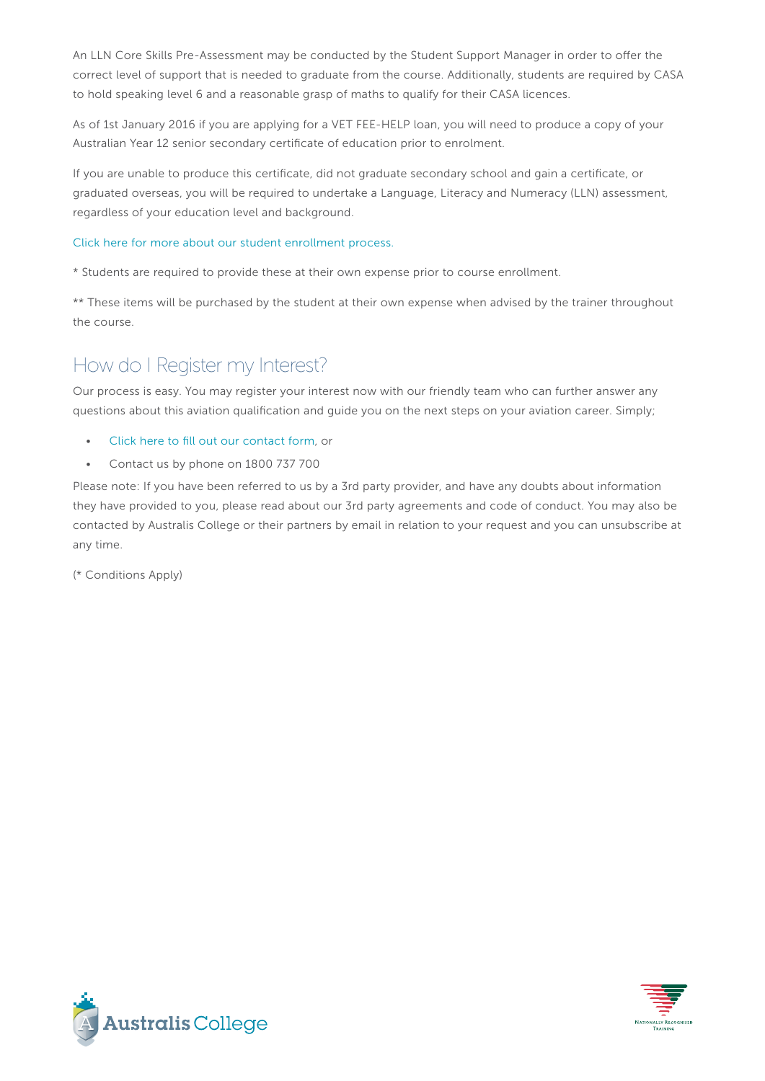An LLN Core Skills Pre-Assessment may be conducted by the Student Support Manager in order to offer the correct level of support that is needed to graduate from the course. Additionally, students are required by CASA to hold speaking level 6 and a reasonable grasp of maths to qualify for their CASA licences.

As of 1st January 2016 if you are applying for a VET FEE-HELP loan, you will need to produce a copy of your Australian Year 12 senior secondary certificate of education prior to enrolment.

If you are unable to produce this certificate, did not graduate secondary school and gain a certificate, or graduated overseas, you will be required to undertake a Language, Literacy and Numeracy (LLN) assessment, regardless of your education level and background.

#### [Click here for more about our student enrollment process.](http://www.australiscollege.edu.au/vet-fee-help/student-entry-procedure/)

\* Students are required to provide these at their own expense prior to course enrollment.

\*\* These items will be purchased by the student at their own expense when advised by the trainer throughout the course.

# How do I Register my Interest?

Our process is easy. You may register your interest now with our friendly team who can further answer any questions about this aviation qualification and guide you on the next steps on your aviation career. Simply;

- [Click here to fill out our contact form](http://www.australisaviationcollege.edu.au/contact-us/), or
- Contact us by phone on 1800 737 700

Please note: If you have been referred to us by a 3rd party provider, and have any doubts about information they have provided to you, please read about our 3rd party agreements and code of conduct. You may also be contacted by Australis College or their partners by email in relation to your request and you can unsubscribe at any time.

(\* Conditions Apply)



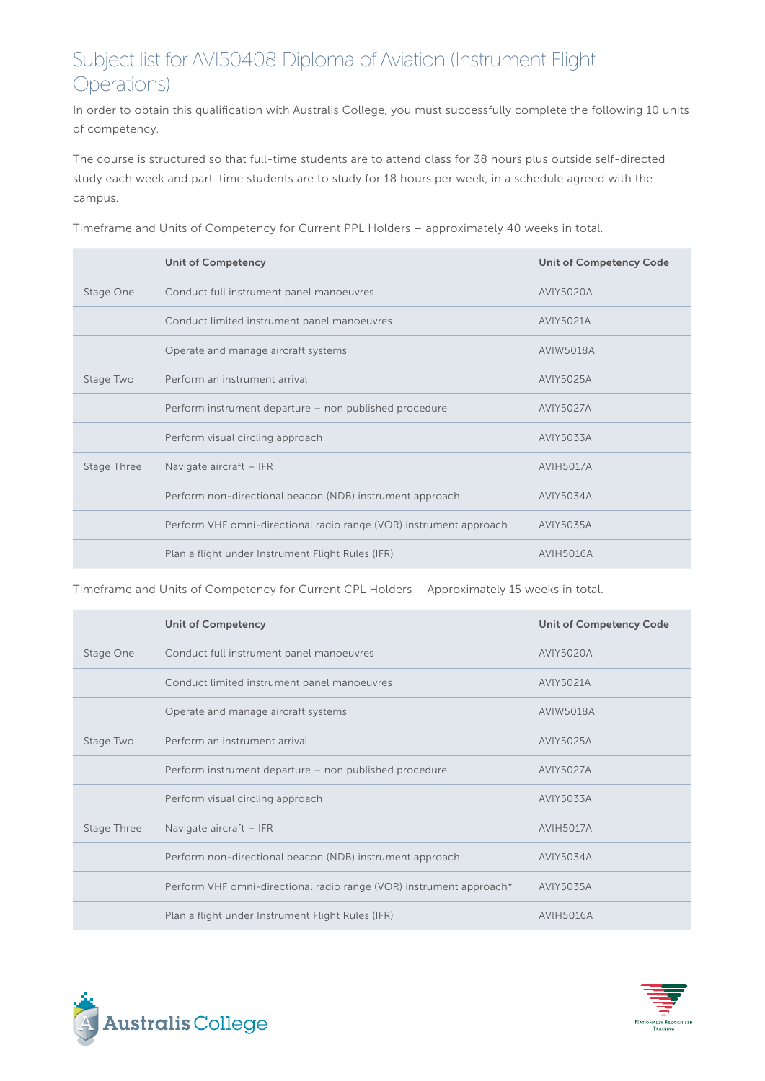# Subject list for AVI50408 Diploma of Aviation (Instrument Flight Operations)

In order to obtain this qualification with Australis College, you must successfully complete the following 10 units of competency.

The course is structured so that full-time students are to attend class for 38 hours plus outside self-directed study each week and part-time students are to study for 18 hours per week, in a schedule agreed with the campus.

Unit of Competency Unit of Competency Code Stage One Conduct full instrument panel manoeuvres **AVIY5020A** Conduct limited instrument panel manoeuvres AVIY5021A Operate and manage aircraft systems AVIW5018A Stage Two Perform an instrument arrival AVIY5025A Perform instrument departure – non published procedure MAVIY5027A Perform visual circling approach and a state of the AVIY5033A Stage Three Navigate aircraft – IFR AVIH5017A Perform non-directional beacon (NDB) instrument approach AVIY5034A Perform VHF omni-directional radio range (VOR) instrument approach AVIY5035A Plan a flight under Instrument Flight Rules (IFR) AVIH5016A

Timeframe and Units of Competency for Current PPL Holders – approximately 40 weeks in total.

Timeframe and Units of Competency for Current CPL Holders – Approximately 15 weeks in total.

|             | <b>Unit of Competency</b>                                           | <b>Unit of Competency Code</b> |
|-------------|---------------------------------------------------------------------|--------------------------------|
| Stage One   | Conduct full instrument panel manoeuvres                            | <b>AVIY5020A</b>               |
|             | Conduct limited instrument panel manoeuvres                         | <b>AVIY5021A</b>               |
|             | Operate and manage aircraft systems                                 | AVIW5018A                      |
| Stage Two   | Perform an instrument arrival                                       | AVIY5025A                      |
|             | Perform instrument departure – non published procedure              | <b>AVIY5027A</b>               |
|             | Perform visual circling approach                                    | AVIY5033A                      |
| Stage Three | Navigate aircraft - IFR                                             | <b>AVIH5017A</b>               |
|             | Perform non-directional beacon (NDB) instrument approach            | <b>AVIY5034A</b>               |
|             | Perform VHF omni-directional radio range (VOR) instrument approach* | AVIY5035A                      |
|             | Plan a flight under Instrument Flight Rules (IFR)                   | <b>AVIH5016A</b>               |